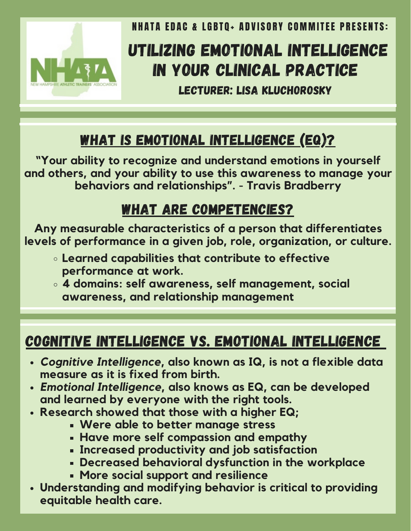

**NHATA EDAC & LGBTO+ ADVISORY COMMITEE PRESENTS:** 

# UTILIZING EMOTIONAL INTELLIGENCE IN YOUR CLINICAL PRACTICE

LECTURER: LISA KLUCHOROSKY

# WHAT IS EMOTIONAL INTELLIGENCE (EQ)?

**"Your ability to recognize and understand emotions in yourself and others, and your ability to use this awareness to manage your behaviors and relationships". - Travis Bradberry**

#### WHAT ARE COMPETENCIES?

**Any measurable characteristics of a person that differentiates levels of performance in a given job, role, organization, or culture.**

- **Learned capabilities that contribute to effective performance at work.**
- **4 domains: self awareness, self management, social awareness, and relationship management**

## COGNITIVE INTELLIGENCE VS. EMOTIONAL INTELLIGENCE

- *Cognitive Intelligence***, also known as IQ, is not a flexible data measure as it is fixed from birth.**
- *Emotional Intelligence***, also knows as EQ, can be developed and learned by everyone with the right tools.**
- **Research showed that those with a higher EQ;**
	- **Were able to better manage stress**
	- **Have more self compassion and empathy**
	- **Increased productivity and job satisfaction**
	- **Decreased behavioral dysfunction in the workplace**
	- **More social support and resilience**
- **Understanding and modifying behavior is critical to providing equitable health care.**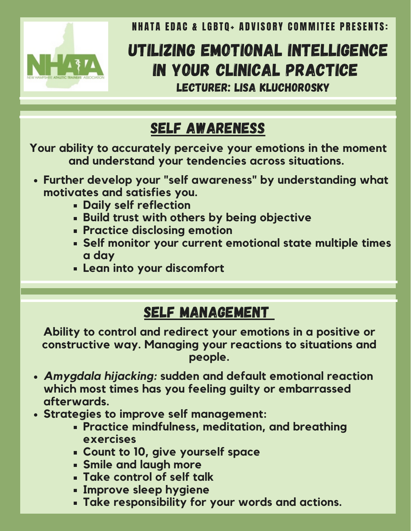

**NHATA EDAC & LGBTO+ ADVISORY COMMITEE PRESENTS:** 

# UTILIZING EMOTIONAL INTELLIGENCE IN YOUR CLINICAL PRACTICE LECTURER: LISA KLUCHOROSKY

## SELF AWARENESS

**Your ability to accurately perceive your emotions in the moment and understand your tendencies across situations.**

- **Further develop your "self awareness" by understanding what motivates and satisfies you.**
	- **Daily self reflection**
	- **Build trust with others by being objective**
	- **Practice disclosing emotion**
	- **Self monitor your current emotional state multiple times a day**
	- **Lean into your discomfort**

#### SELF MANAGEMENT

**Ability to control and redirect your emotions in a positive or constructive way. Managing your reactions to situations and people.**

- *Amygdala hijacking:* **sudden and default emotional reaction which most times has you feeling guilty or embarrassed afterwards.**
- **Strategies to improve self management:**
	- **Practice mindfulness, meditation, and breathing exercises**
	- **Count to 10, give yourself space**
	- **Smile and laugh more**
	- **Take control of self talk**
	- **Improve sleep hygiene**
	- **Take responsibility for your words and actions.**